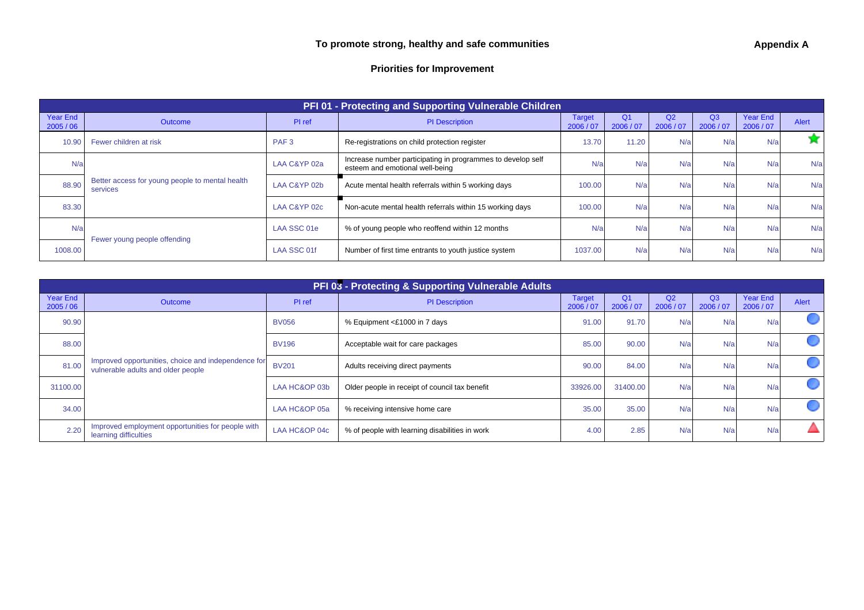## **Priorities for Improvement**

| PFI 01 - Protecting and Supporting Vulnerable Children |                                                             |                  |                                                                                                |                            |                             |                 |                             |                              |       |
|--------------------------------------------------------|-------------------------------------------------------------|------------------|------------------------------------------------------------------------------------------------|----------------------------|-----------------------------|-----------------|-----------------------------|------------------------------|-------|
| <b>Year End</b><br>2005/06                             | <b>Outcome</b>                                              | PI ref           | <b>PI</b> Description                                                                          | <b>Target</b><br>2006 / 07 | Q <sub>1</sub><br>2006 / 07 | Q2<br>2006 / 07 | Q <sub>3</sub><br>2006 / 07 | <b>Year End</b><br>2006 / 07 | Alert |
| 10.90                                                  | Fewer children at risk                                      | PAF <sub>3</sub> | Re-registrations on child protection register                                                  | 13.70                      | 11.20                       | N/a             | N/a                         | N/a                          |       |
| N/a                                                    |                                                             | LAA C&YP 02a     | Increase number participating in programmes to develop self<br>esteem and emotional well-being | N/a                        | N/a                         | N/a             | N/a                         | N/a                          | N/a   |
| 88.90                                                  | Better access for young people to mental health<br>services | LAA C&YP 02b     | Acute mental health referrals within 5 working days                                            | 100.00                     | N/a                         | N/a             | N/a                         | N/a                          | N/a   |
| 83.30                                                  |                                                             | LAA C&YP 02c     | Non-acute mental health referrals within 15 working days                                       | 100.00                     | N/a                         | N/a             | N/a                         | N/a                          | N/a   |
| N/a                                                    | Fewer young people offending                                | LAA SSC 01e      | % of young people who reoffend within 12 months                                                | N/a                        | N/a                         | N/a             | N/a                         | N/a                          | N/a   |
| 1008.00                                                |                                                             | LAA SSC 01f      | Number of first time entrants to youth justice system                                          | 1037.00                    | N/a                         | N/a             | N/a                         | N/a                          | N/a   |

| PFI 03 - Protecting & Supporting Vulnerable Adults |                                                                                           |               |                                                                       |                             |                 |                             |                              |                 |  |
|----------------------------------------------------|-------------------------------------------------------------------------------------------|---------------|-----------------------------------------------------------------------|-----------------------------|-----------------|-----------------------------|------------------------------|-----------------|--|
| <b>Year End</b><br>2005/06                         | <b>Outcome</b>                                                                            | PI ref        | <b>PI</b> Description                                                 | O <sub>1</sub><br>2006 / 07 | Q2<br>2006 / 07 | Q <sub>3</sub><br>2006 / 07 | <b>Year End</b><br>2006 / 07 | <b>Alert</b>    |  |
| 90.90                                              |                                                                                           | <b>BV056</b>  | % Equipment <£1000 in 7 days                                          | 91.00                       | 91.70           | N/a                         | N/a                          | N/a             |  |
| 88.00                                              |                                                                                           | <b>BV196</b>  | Acceptable wait for care packages                                     | 85.00                       | 90.00           | N/a                         | N/a                          | N/a             |  |
| 81.00                                              | Improved opportunities, choice and independence for<br>vulnerable adults and older people | <b>BV201</b>  | Adults receiving direct payments                                      | 90.00                       | 84.00           | N/a                         | N/a                          | $N/\varepsilon$ |  |
| 31100.00                                           | 34.00                                                                                     | LAA HC&OP 03b | Older people in receipt of council tax benefit                        | 33926.00                    | 31400.00        | N/a                         | N/a                          | N/a             |  |
|                                                    |                                                                                           | LAA HC&OP 05a | % receiving intensive home care                                       | 35.00                       | 35.00           | N/a                         | N/a                          | N/a             |  |
| 2.20                                               | Improved employment opportunities for people with<br>learning difficulties                | LAA HC&OP 04c | 2.85<br>N/a<br>4.00<br>% of people with learning disabilities in work |                             | N/a             | N/a                         |                              |                 |  |